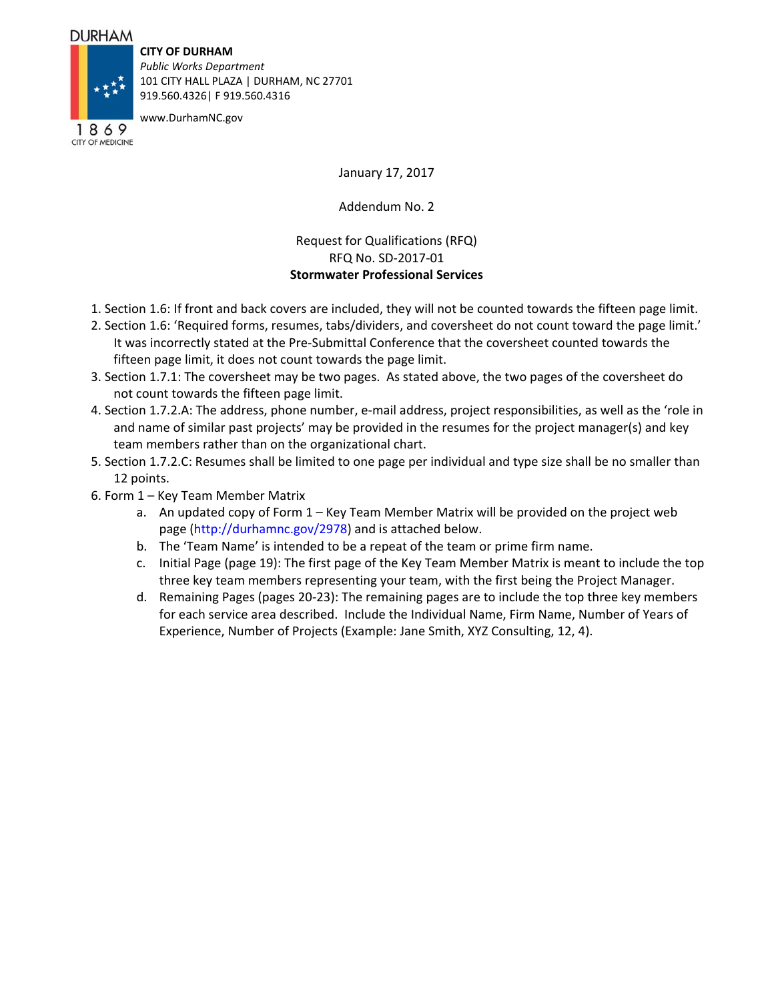## **DURHAM**

## **CITY OF DURHAM**

*Public Works Department* 101 CITY HALL PLAZA | DURHAM, NC 27701 919.560.4326| F 919.560.4316

www.DurhamNC.gov

1869 CITY OF MEDICINE

January 17, 2017

Addendum No. 2

## Request for Qualifications (RFQ) RFQ No. SD‐2017‐01 **Stormwater Professional Services**

- 1. Section 1.6: If front and back covers are included, they will not be counted towards the fifteen page limit.
- 2. Section 1.6: 'Required forms, resumes, tabs/dividers, and coversheet do not count toward the page limit.' It was incorrectly stated at the Pre‐Submittal Conference that the coversheet counted towards the fifteen page limit, it does not count towards the page limit.
- 3. Section 1.7.1: The coversheet may be two pages. As stated above, the two pages of the coversheet do not count towards the fifteen page limit.
- 4. Section 1.7.2.A: The address, phone number, e‐mail address, project responsibilities, as well as the 'role in and name of similar past projects' may be provided in the resumes for the project manager(s) and key team members rather than on the organizational chart.
- 5. Section 1.7.2.C: Resumes shall be limited to one page per individual and type size shall be no smaller than 12 points.
- 6. Form 1 Key Team Member Matrix
	- a. An updated copy of Form 1 Key Team Member Matrix will be provided on the project web page (http://durhamnc.gov/2978) and is attached below.
	- b. The 'Team Name' is intended to be a repeat of the team or prime firm name.
	- c. Initial Page (page 19): The first page of the Key Team Member Matrix is meant to include the top three key team members representing your team, with the first being the Project Manager.
	- d. Remaining Pages (pages 20‐23): The remaining pages are to include the top three key members for each service area described. Include the Individual Name, Firm Name, Number of Years of Experience, Number of Projects (Example: Jane Smith, XYZ Consulting, 12, 4).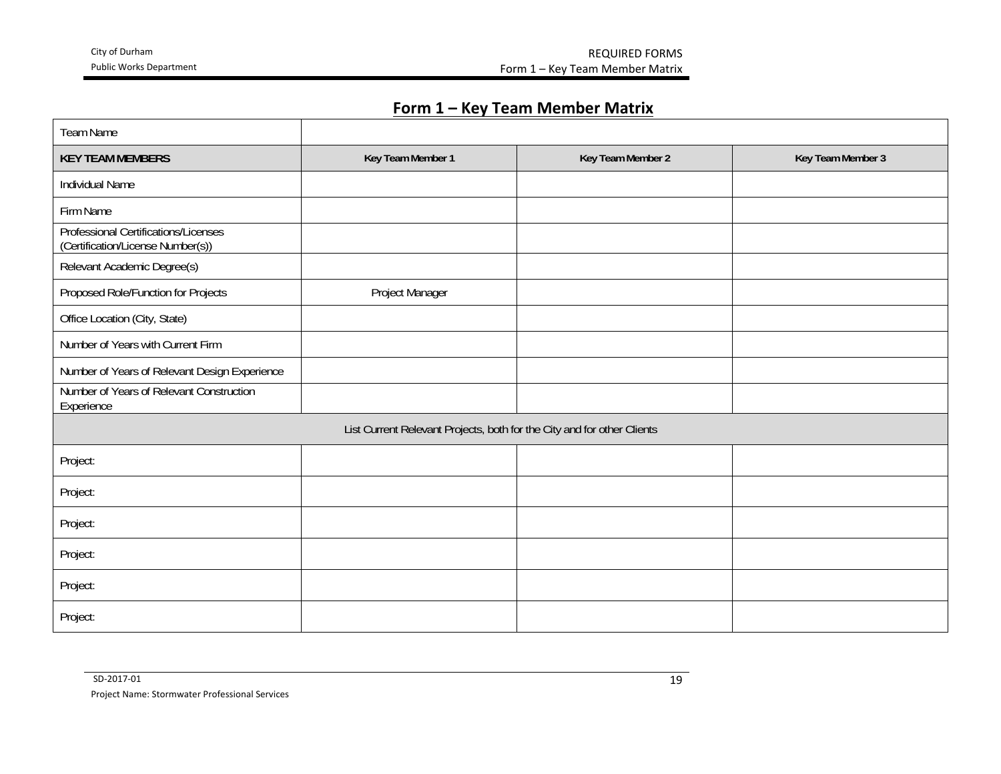City of Durham REQUIRED FORMS Form 1 – Key Team Member Matrix

## **Form 1 – Key Team Member Matrix**

| Team Name                                                                 |                   |                   |                   |
|---------------------------------------------------------------------------|-------------------|-------------------|-------------------|
| <b>KEY TEAM MEMBERS</b>                                                   | Key Team Member 1 | Key Team Member 2 | Key Team Member 3 |
| Individual Name                                                           |                   |                   |                   |
| Firm Name                                                                 |                   |                   |                   |
| Professional Certifications/Licenses<br>(Certification/License Number(s)) |                   |                   |                   |
| Relevant Academic Degree(s)                                               |                   |                   |                   |
| Proposed Role/Function for Projects                                       | Project Manager   |                   |                   |
| Office Location (City, State)                                             |                   |                   |                   |
| Number of Years with Current Firm                                         |                   |                   |                   |
| Number of Years of Relevant Design Experience                             |                   |                   |                   |
| Number of Years of Relevant Construction<br>Experience                    |                   |                   |                   |
| List Current Relevant Projects, both for the City and for other Clients   |                   |                   |                   |
| Project:                                                                  |                   |                   |                   |
| Project:                                                                  |                   |                   |                   |
| Project:                                                                  |                   |                   |                   |
| Project:                                                                  |                   |                   |                   |
| Project:                                                                  |                   |                   |                   |
| Project:                                                                  |                   |                   |                   |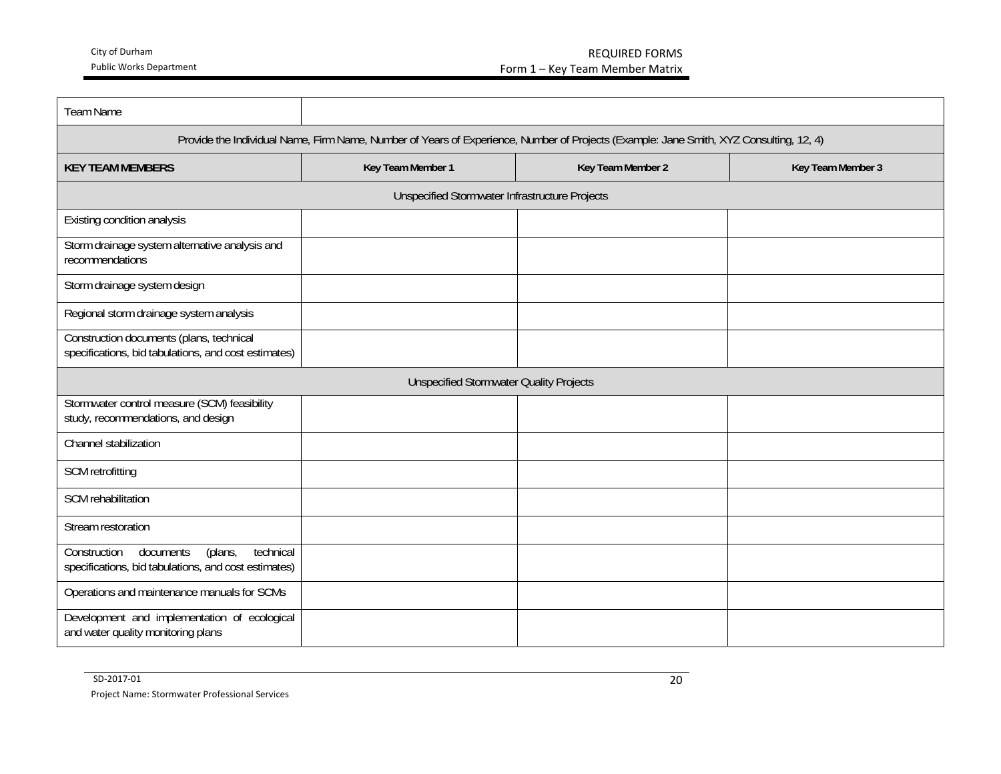| <b>Team Name</b>                                                                                                                       |                                                |                   |                   |
|----------------------------------------------------------------------------------------------------------------------------------------|------------------------------------------------|-------------------|-------------------|
|                                                                                                                                        |                                                |                   |                   |
| Provide the Individual Name, Firm Name, Number of Years of Experience, Number of Projects (Example: Jane Smith, XYZ Consulting, 12, 4) |                                                |                   |                   |
| <b>KEY TEAM MEMBERS</b>                                                                                                                | Key Team Member 1                              | Key Team Member 2 | Key Team Member 3 |
|                                                                                                                                        | Unspecified Stormwater Infrastructure Projects |                   |                   |
| Existing condition analysis                                                                                                            |                                                |                   |                   |
| Storm drainage system alternative analysis and<br>recommendations                                                                      |                                                |                   |                   |
| Storm drainage system design                                                                                                           |                                                |                   |                   |
| Regional storm drainage system analysis                                                                                                |                                                |                   |                   |
| Construction documents (plans, technical<br>specifications, bid tabulations, and cost estimates)                                       |                                                |                   |                   |
| <b>Unspecified Stormwater Quality Projects</b>                                                                                         |                                                |                   |                   |
| Stormwater control measure (SCM) feasibility<br>study, recommendations, and design                                                     |                                                |                   |                   |
| Channel stabilization                                                                                                                  |                                                |                   |                   |
| SCM retrofitting                                                                                                                       |                                                |                   |                   |
| SCM rehabilitation                                                                                                                     |                                                |                   |                   |
| Stream restoration                                                                                                                     |                                                |                   |                   |
| Construction<br>(plans,<br>technical<br>documents<br>specifications, bid tabulations, and cost estimates)                              |                                                |                   |                   |
| Operations and maintenance manuals for SCMs                                                                                            |                                                |                   |                   |
| Development and implementation of ecological<br>and water quality monitoring plans                                                     |                                                |                   |                   |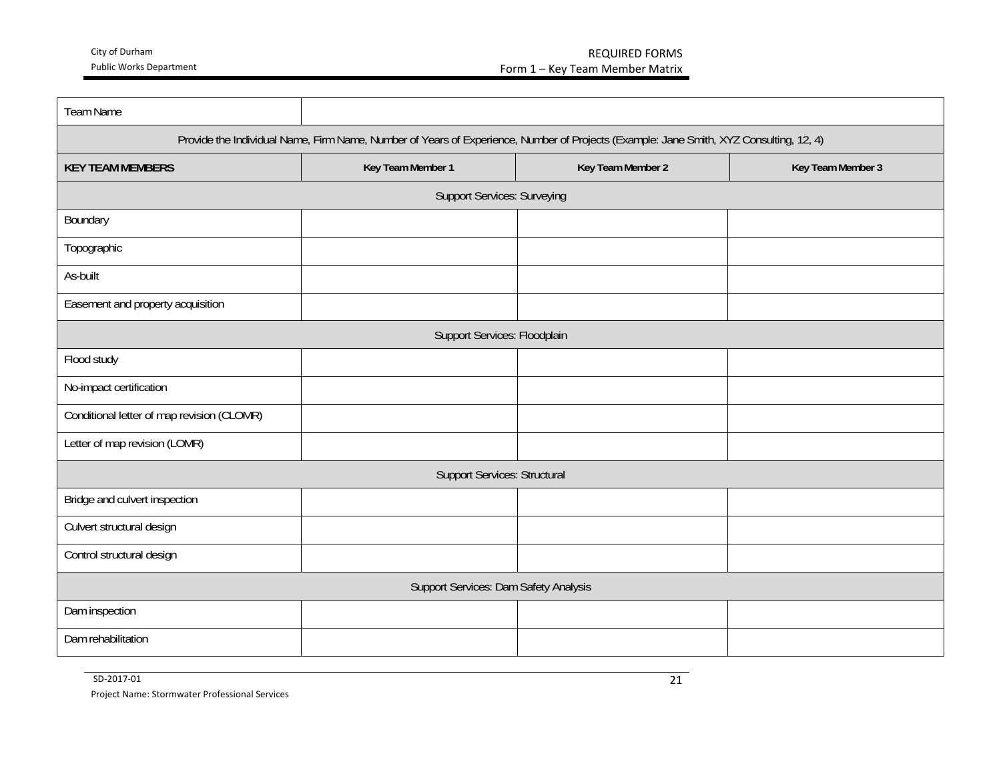| <b>Team Name</b>                                                                                                                       |                                    |                   |                   |
|----------------------------------------------------------------------------------------------------------------------------------------|------------------------------------|-------------------|-------------------|
| Provide the Individual Name, Firm Name, Number of Years of Experience, Number of Projects (Example: Jane Smith, XYZ Consulting, 12, 4) |                                    |                   |                   |
| <b>KEY TEAM MEMBERS</b>                                                                                                                | Key Team Member 1                  | Key Team Member 2 | Key Team Member 3 |
|                                                                                                                                        | <b>Support Services: Surveying</b> |                   |                   |
| Boundary                                                                                                                               |                                    |                   |                   |
| Topographic                                                                                                                            |                                    |                   |                   |
| As-built                                                                                                                               |                                    |                   |                   |
| Easement and property acquisition                                                                                                      |                                    |                   |                   |
|                                                                                                                                        | Support Services: Floodplain       |                   |                   |
| Flood study                                                                                                                            |                                    |                   |                   |
| No-impact certification                                                                                                                |                                    |                   |                   |
| Conditional letter of map revision (CLOMR)                                                                                             |                                    |                   |                   |
| Letter of map revision (LOMR)                                                                                                          |                                    |                   |                   |
| <b>Support Services: Structural</b>                                                                                                    |                                    |                   |                   |
| Bridge and culvert inspection                                                                                                          |                                    |                   |                   |
| Culvert structural design                                                                                                              |                                    |                   |                   |
| Control structural design                                                                                                              |                                    |                   |                   |
| Support Services: Dam Safety Analysis                                                                                                  |                                    |                   |                   |
| Dam inspection                                                                                                                         |                                    |                   |                   |
| Dam rehabilitation                                                                                                                     |                                    |                   |                   |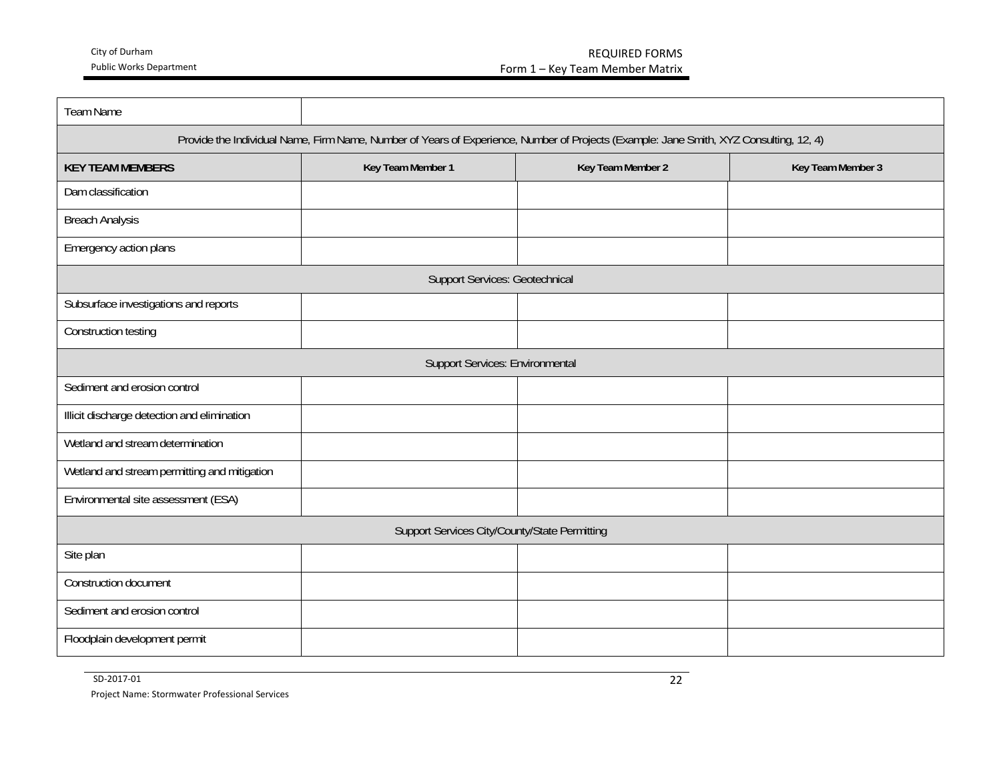| <b>Team Name</b>                                                                                                                       |                                       |                   |                   |
|----------------------------------------------------------------------------------------------------------------------------------------|---------------------------------------|-------------------|-------------------|
| Provide the Individual Name, Firm Name, Number of Years of Experience, Number of Projects (Example: Jane Smith, XYZ Consulting, 12, 4) |                                       |                   |                   |
| <b>KEY TEAM MEMBERS</b>                                                                                                                | Key Team Member 1                     | Key Team Member 2 | Key Team Member 3 |
| Dam classification                                                                                                                     |                                       |                   |                   |
| <b>Breach Analysis</b>                                                                                                                 |                                       |                   |                   |
| Emergency action plans                                                                                                                 |                                       |                   |                   |
|                                                                                                                                        | <b>Support Services: Geotechnical</b> |                   |                   |
| Subsurface investigations and reports                                                                                                  |                                       |                   |                   |
| Construction testing                                                                                                                   |                                       |                   |                   |
| Support Services: Environmental                                                                                                        |                                       |                   |                   |
| Sediment and erosion control                                                                                                           |                                       |                   |                   |
| Illicit discharge detection and elimination                                                                                            |                                       |                   |                   |
| Wetland and stream determination                                                                                                       |                                       |                   |                   |
| Wetland and stream permitting and mitigation                                                                                           |                                       |                   |                   |
| Environmental site assessment (ESA)                                                                                                    |                                       |                   |                   |
| Support Services City/County/State Permitting                                                                                          |                                       |                   |                   |
| Site plan                                                                                                                              |                                       |                   |                   |
| Construction document                                                                                                                  |                                       |                   |                   |
| Sediment and erosion control                                                                                                           |                                       |                   |                   |
| Floodplain development permit                                                                                                          |                                       |                   |                   |